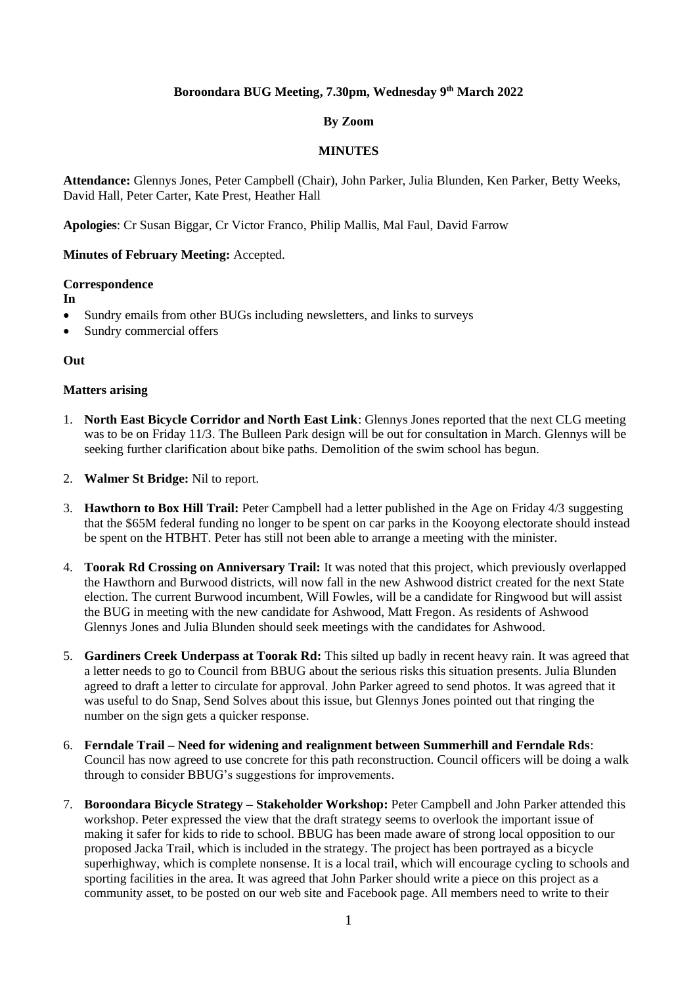# **Boroondara BUG Meeting, 7.30pm, Wednesday 9 th March 2022**

# **By Zoom**

## **MINUTES**

**Attendance:** Glennys Jones, Peter Campbell (Chair), John Parker, Julia Blunden, Ken Parker, Betty Weeks, David Hall, Peter Carter, Kate Prest, Heather Hall

**Apologies**: Cr Susan Biggar, Cr Victor Franco, Philip Mallis, Mal Faul, David Farrow

# **Minutes of February Meeting:** Accepted.

#### **Correspondence**

**In**

- Sundry emails from other BUGs including newsletters, and links to surveys
- Sundry commercial offers

## **Out**

# **Matters arising**

- 1. **North East Bicycle Corridor and North East Link**: Glennys Jones reported that the next CLG meeting was to be on Friday 11/3. The Bulleen Park design will be out for consultation in March. Glennys will be seeking further clarification about bike paths. Demolition of the swim school has begun.
- 2. **Walmer St Bridge:** Nil to report.
- 3. **Hawthorn to Box Hill Trail:** Peter Campbell had a letter published in the Age on Friday 4/3 suggesting that the \$65M federal funding no longer to be spent on car parks in the Kooyong electorate should instead be spent on the HTBHT. Peter has still not been able to arrange a meeting with the minister.
- 4. **Toorak Rd Crossing on Anniversary Trail:** It was noted that this project, which previously overlapped the Hawthorn and Burwood districts, will now fall in the new Ashwood district created for the next State election. The current Burwood incumbent, Will Fowles, will be a candidate for Ringwood but will assist the BUG in meeting with the new candidate for Ashwood, Matt Fregon. As residents of Ashwood Glennys Jones and Julia Blunden should seek meetings with the candidates for Ashwood.
- 5. **Gardiners Creek Underpass at Toorak Rd:** This silted up badly in recent heavy rain. It was agreed that a letter needs to go to Council from BBUG about the serious risks this situation presents. Julia Blunden agreed to draft a letter to circulate for approval. John Parker agreed to send photos. It was agreed that it was useful to do Snap, Send Solves about this issue, but Glennys Jones pointed out that ringing the number on the sign gets a quicker response.
- 6. **Ferndale Trail – Need for widening and realignment between Summerhill and Ferndale Rds**: Council has now agreed to use concrete for this path reconstruction. Council officers will be doing a walk through to consider BBUG's suggestions for improvements.
- 7. **Boroondara Bicycle Strategy – Stakeholder Workshop:** Peter Campbell and John Parker attended this workshop. Peter expressed the view that the draft strategy seems to overlook the important issue of making it safer for kids to ride to school. BBUG has been made aware of strong local opposition to our proposed Jacka Trail, which is included in the strategy. The project has been portrayed as a bicycle superhighway, which is complete nonsense. It is a local trail, which will encourage cycling to schools and sporting facilities in the area. It was agreed that John Parker should write a piece on this project as a community asset, to be posted on our web site and Facebook page. All members need to write to their